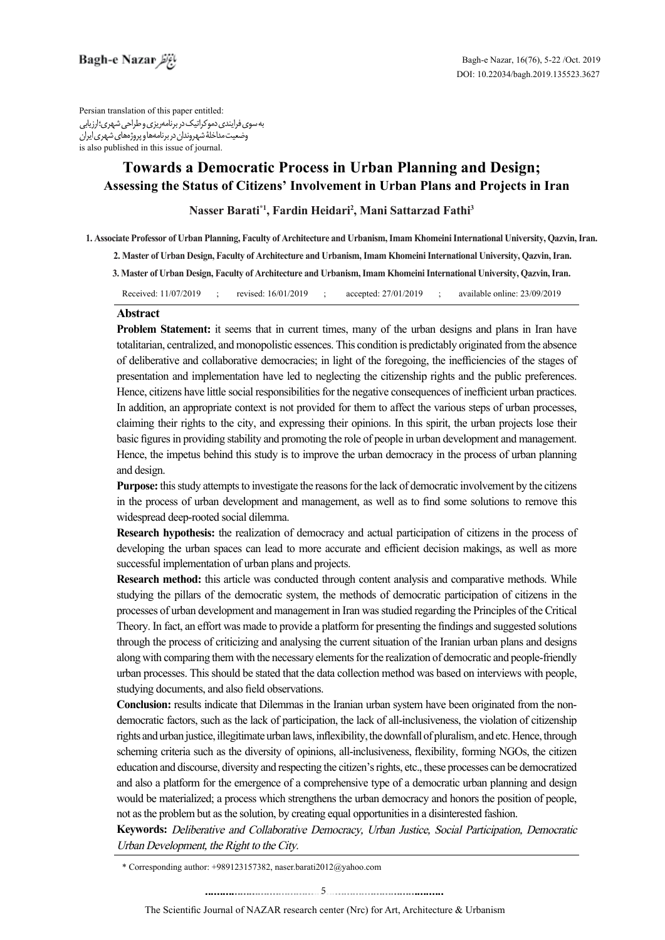Persian translation of this paper entitled به سوی فرایندی دموکراتیک در برنامهریزی و طراحی شهری؛ ارزیابی وضعیت مداخلۀ شهروندان در برنامهها و پروژههای شهری ایران is also published in this issue of journal.

# **Towards a Democratic Process in Urban Planning and Design:** Assessing the Status of Citizens' Involvement in Urban Plans and Projects in Iran

Nasser Barati\*<sup>1</sup>, Fardin Heidari<sup>2</sup>, Mani Sattarzad Fathi<sup>3</sup>

1. Associate Professor of Urban Planning, Faculty of Architecture and Urbanism, Imam Khomeini International University, Qazvin, Iran.

2. Master of Urban Design, Faculty of Architecture and Urbanism, Imam Khomeini International University, Qazvin, Iran.

3. Master of Urban Design, Faculty of Architecture and Urbanism, Imam Khomeini International University, Oazyin, Iran,

Received: 11/07/2019 ; revised: 16/01/2019 ; accepted: 27/01/2019 ; available online: 23/09/2019

### **Abstract**

**Problem Statement:** it seems that in current times, many of the urban designs and plans in Iran have totalitarian, centralized, and monopolistic essences. This condition is predictably originated from the absence of deliberative and collaborative democracies; in light of the foregoing, the inefficiencies of the stages of presentation and implementation have led to neglecting the citizenship rights and the public preferences. Hence, citizens have little social responsibilities for the negative consequences of inefficient urban practices. In addition, an appropriate context is not provided for them to affect the various steps of urban processes, claiming their rights to the city, and expressing their opinions. In this spirit, the urban projects lose their basic figures in providing stability and promoting the role of people in urban development and management. Hence, the impetus behind this study is to improve the urban democracy in the process of urban planning and design.

**Purpose:** this study attempts to investigate the reasons for the lack of democratic involvement by the citizens in the process of urban development and management, as well as to find some solutions to remove this widespread deep-rooted social dilemma.

**Research hypothesis:** the realization of democracy and actual participation of citizens in the process of developing the urban spaces can lead to more accurate and efficient decision makings, as well as more successful implementation of urban plans and projects.

Research method: this article was conducted through content analysis and comparative methods. While studying the pillars of the democratic system, the methods of democratic participation of citizens in the processes of urban development and management in Iran was studied regarding the Principles of the Critical Theory. In fact, an effort was made to provide a platform for presenting the findings and suggested solutions through the process of criticizing and analysing the current situation of the Iranian urban plans and designs along with comparing them with the necessary elements for the realization of democratic and people-friendly urban processes. This should be stated that the data collection method was based on interviews with people. studying documents, and also field observations.

democratic factors, such as the lack of participation, the lack of all-inclusiveness, the violation of citizenship **Conclusion:** results indicate that Dilemmas in the Iranian urban system have been originated from the nonrights and urban justice, illegitimate urban laws, inflexibility, the downfall of pluralism, and etc. Hence, through scheming criteria such as the diversity of opinions, all-inclusiveness, flexibility, forming NGOs, the citizen education and discourse, diversity and respecting the citizen's rights, etc., these processes can be democratized and also a platform for the emergence of a comprehensive type of a democratic urban planning and design would be materialized; a process which strengthens the urban democracy and honors the position of people, not as the problem but as the solution, by creating equal opportunities in a disinterested fashion.

Keywords: Deliberative and Collaborative Democracy, Urban Justice, Social Participation, Democratic Urban Development, the Right to the City.

<sup>\*</sup> Corresponding author:  $+989123157382$ , naser.barati $2012@$ yahoo.com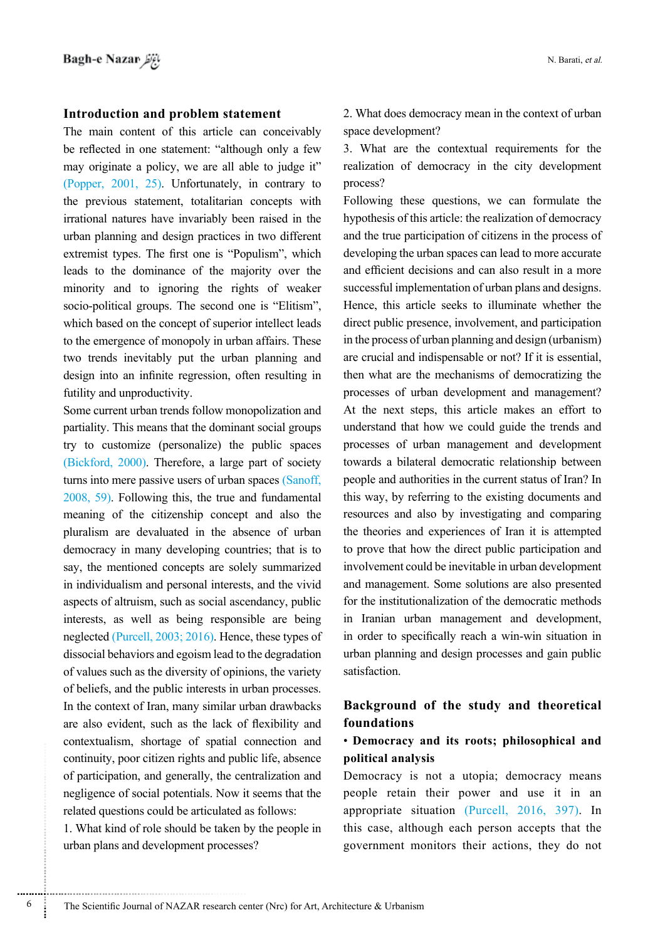#### **Introduction and problem statement**

The main content of this article can conceivably be reflected in one statement: "although only a few may originate a policy, we are all able to judge it" (Popper,  $2001$ ,  $25$ ). Unfortunately, in contrary to the previous statement, totalitarian concepts with irrational natures have invariably been raised in the urban planning and design practices in two different extremist types. The first one is "Populism", which leads to the dominance of the majority over the minority and to ignoring the rights of weaker socio-political groups. The second one is "Elitism", which based on the concept of superior intellect leads to the emergence of monopoly in urban affairs. These two trends inevitably put the urban planning and design into an infinite regression, often resulting in futility and unproductivity.

Some current urban trends follow monopolization and partiality. This means that the dominant social groups try to customize (personalize) the public spaces (Bickford,  $2000$ ). Therefore, a large part of society turns into mere passive users of urban spaces (Sanoff,  $f(2008, 59)$ . Following this, the true and fundamental meaning of the citizenship concept and also the pluralism are devaluated in the absence of urban democracy in many developing countries; that is to say, the mentioned concepts are solely summarized in individualism and personal interests, and the vivid aspects of altruism, such as social ascendancy, public interests, as well as being responsible are being neglected  $(Purcell, 2003; 2016)$ . Hence, these types of dissocial behaviors and egoism lead to the degradation of values such as the diversity of opinions, the variety of beliefs, and the public interests in urban processes. In the context of Iran, many similar urban drawbacks are also evident, such as the lack of flexibility and contextualism, shortage of spatial connection and continuity, poor citizen rights and public life, absence of participation, and generally, the centralization and negligence of social potentials. Now it seems that the related questions could be articulated as follows:

1. What kind of role should be taken by the people in urban plans and development processes?

2. What does democracy mean in the context of urban space development?

3. What are the contextual requirements for the realization of democracy in the city development process?

Following these questions, we can formulate the hypothesis of this article: the realization of democracy and the true participation of citizens in the process of developing the urban spaces can lead to more accurate and efficient decisions and can also result in a more successful implementation of urban plans and designs. Hence, this article seeks to illuminate whether the direct public presence, involvement, and participation in the process of urban planning and design (urbanism) are crucial and indispensable or not? If it is essential, then what are the mechanisms of democratizing the processes of urban development and management? At the next steps, this article makes an effort to understand that how we could guide the trends and processes of urban management and development towards a bilateral democratic relationship between people and authorities in the current status of Iran? In this way, by referring to the existing documents and resources and also by investigating and comparing the theories and experiences of Iran it is attempted to prove that how the direct public participation and involvement could be inevitable in urban development and management. Some solutions are also presented for the institutionalization of the democratic methods in Iranian urban management and development, in order to specifically reach a win-win situation in urban planning and design processes and gain public .satisfaction

### **Background** of the study and theoretical **foundations**

## **• Democracy and its roots; philosophical and analysis political**

Democracy is not a utopia; democracy means people retain their power and use it in an appropriate situation  $(Purcell, 2016, 397)$ . In this case, although each person accepts that the government monitors their actions, they do not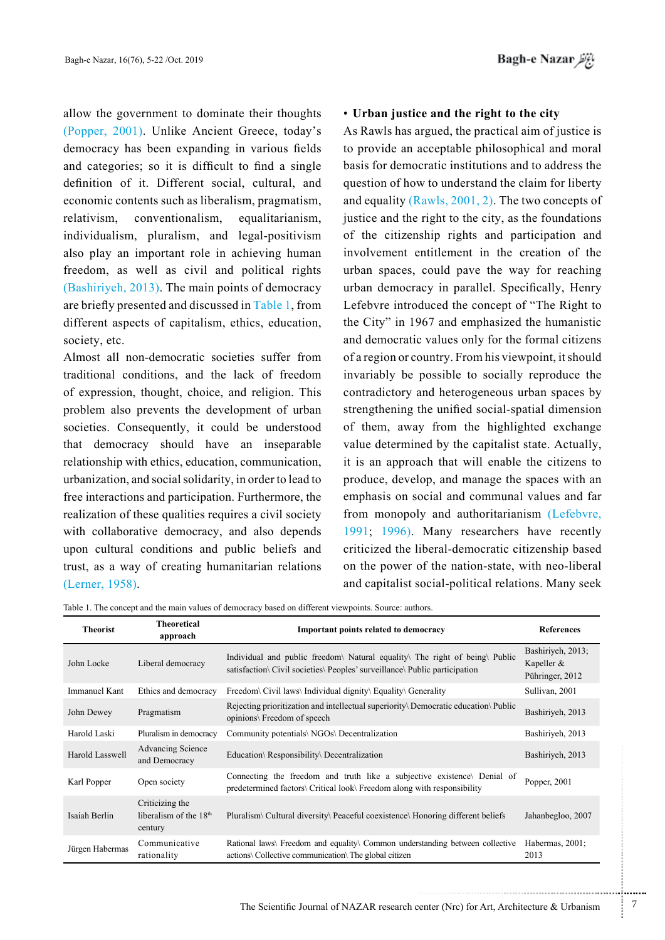allow the government to dominate their thoughts (Popper, 2001). Unlike Ancient Greece, today's democracy has been expanding in various fields and categories; so it is difficult to find a single definition of it. Different social, cultural, and economic contents such as liberalism, pragmatism, relativism, conventionalism, equalitarianism, individualism, pluralism, and legal-positivism also play an important role in achieving human freedom, as well as civil and political rights  $(Bashiriyeh, 2013)$ . The main points of democracy are briefly presented and discussed in Table 1, from different aspects of capitalism, ethics, education, society, etc.

Almost all non-democratic societies suffer from traditional conditions, and the lack of freedom of expression, thought, choice, and religion. This problem also prevents the development of urban societies. Consequently, it could be understood that democracy should have an inseparable relationship with ethics, education, communication, urbanization, and social solidarity, in order to lead to free interactions and participation. Furthermore, the realization of these qualities requires a civil society with collaborative democracy, and also depends upon cultural conditions and public beliefs and trust, as a way of creating humanitarian relations (Lerner, 1958).

#### • Urban justice and the right to the city

As Rawls has argued, the practical aim of justice is to provide an acceptable philosophical and moral basis for democratic institutions and to address the question of how to understand the claim for liberty and equality (Rawls,  $2001$ , 2). The two concepts of justice and the right to the city, as the foundations of the citizenship rights and participation and involvement entitlement in the creation of the urban spaces, could pave the way for reaching urban democracy in parallel. Specifically, Henry Lefebvre introduced the concept of "The Right to the City" in 1967 and emphasized the humanistic and democratic values only for the formal citizens of a region or country. From his viewpoint, it should invariably be possible to socially reproduce the contradictory and heterogeneous urban spaces by strengthening the unified social-spatial dimension of them, away from the highlighted exchange value determined by the capitalist state. Actually, it is an approach that will enable the citizens to produce, develop, and manage the spaces with an emphasis on social and communal values and far from monopoly and authoritarianism (Lefebvre, 1991; 1996). Many researchers have recently criticized the liberal-democratic citizenship based on the power of the nation-state, with neo-liberal and capitalist social-political relations. Many seek

Table 1. The concept and the main values of democracy based on different viewpoints. Source: authors

| <b>Theorist</b>      | <b>Theoretical</b><br>approach                         | Important points related to democracy                                                                                                                  | <b>References</b>                                  |
|----------------------|--------------------------------------------------------|--------------------------------------------------------------------------------------------------------------------------------------------------------|----------------------------------------------------|
| John Locke           | Liberal democracy                                      | Individual and public freedom Natural equality The right of being Public<br>satisfaction\ Civil societies\ Peoples' surveillance\ Public participation | Bashiriyeh, 2013;<br>Kapeller &<br>Pühringer, 2012 |
| <b>Immanuel Kant</b> | Ethics and democracy                                   | Freedom\ Civil laws\ Individual dignity\ Equality\ Generality                                                                                          | Sullivan, 2001                                     |
| John Dewey           | Pragmatism                                             | Rejecting prioritization and intellectual superiority Democratic education Public<br>opinions\ Freedom of speech                                       | Bashiriyeh, 2013                                   |
| Harold Laski         | Pluralism in democracy                                 | Community potentials\ NGOs\ Decentralization                                                                                                           | Bashiriyeh, 2013                                   |
| Harold Lasswell      | Advancing Science<br>and Democracy                     | Education\ Responsibility\ Decentralization                                                                                                            | Bashiriyeh, 2013                                   |
| Karl Popper          | Open society                                           | Connecting the freedom and truth like a subjective existence. Denial of<br>predetermined factors\ Critical look\ Freedom along with responsibility     | Popper, 2001                                       |
| Isaiah Berlin        | Criticizing the<br>liberalism of the $18th$<br>century | Pluralism\ Cultural diversity\ Peaceful coexistence\ Honoring different beliefs                                                                        | Jahanbegloo, 2007                                  |
| Jürgen Habermas      | Communicative<br>rationality                           | Rational laws Freedom and equality Common understanding between collective<br>actions\ Collective communication\ The global citizen                    | Habermas, 2001;<br>2013                            |

...........................................................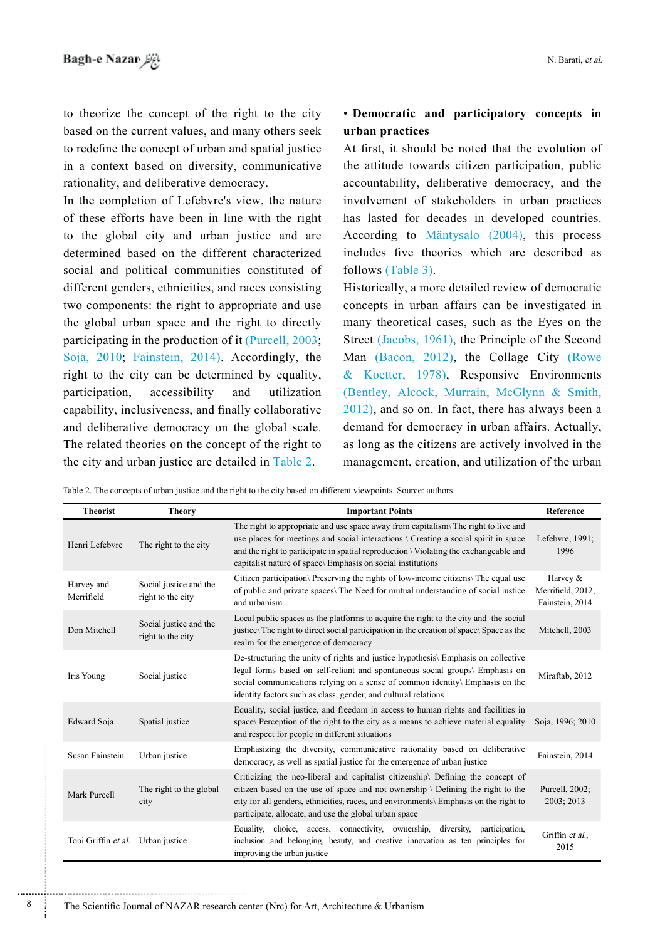to theorize the concept of the right to the city based on the current values, and many others seek to redefine the concept of urban and spatial justice in a context based on diversity, communicative rationality, and deliberative democracy.

In the completion of Lefebvre's view, the nature of these efforts have been in line with the right to the global city and urban justice and are determined based on the different characterized social and political communities constituted of different genders, ethnicities, and races consisting two components: the right to appropriate and use the global urban space and the right to directly participating in the production of it (Purcell,  $2003$ ; Soja, 2010; Fainstein, 2014). Accordingly, the right to the city can be determined by equality, participation, accessibility and utilization capability, inclusiveness, and finally collaborative and deliberative democracy on the global scale. The related theories on the concept of the right to the city and urban justice are detailed in Table 2.

### **• Democratic and participatory concepts in practices urban**

At first, it should be noted that the evolution of the attitude towards citizen participation, public accountability, deliberative democracy, and the involvement of stakeholders in urban practices has lasted for decades in developed countries. According to Mäntysalo (2004), this process includes five theories which are described as follows  $(Table 3)$ .

Historically, a more detailed review of democratic concepts in urban affairs can be investigated in many theoretical cases, such as the Eyes on the Street (Jacobs, 1961), the Principle of the Second Man (Bacon, 2012), the Collage City (Rowe & Koetter, 1978), Responsive Environments (Bentley, Alcock, Murrain, McGlynn  $& Smith,$  $2012$ ), and so on. In fact, there has always been a demand for democracy in urban affairs. Actually, as long as the citizens are actively involved in the management, creation, and utilization of the urban

Table 2. The concepts of urban justice and the right to the city based on different viewpoints. Source: authors.

| <b>Theorist</b>            | <b>Theory</b>                               | <b>Important Points</b>                                                                                                                                                                                                                                                                                                                    | Reference                                          |
|----------------------------|---------------------------------------------|--------------------------------------------------------------------------------------------------------------------------------------------------------------------------------------------------------------------------------------------------------------------------------------------------------------------------------------------|----------------------------------------------------|
| Henri Lefebvre             | The right to the city                       | The right to appropriate and use space away from capitalism The right to live and<br>use places for meetings and social interactions $\setminus$ Creating a social spirit in space<br>and the right to participate in spatial reproduction \ Violating the exchangeable and<br>capitalist nature of space\ Emphasis on social institutions | Lefebvre, 1991;<br>1996                            |
| Harvey and<br>Merrifield   | Social justice and the<br>right to the city | Citizen participation Preserving the rights of low-income citizens The equal use<br>of public and private spaces\ The Need for mutual understanding of social justice<br>and urbanism                                                                                                                                                      | Harvey $&$<br>Merrifield, 2012;<br>Fainstein, 2014 |
| Don Mitchell               | Social justice and the<br>right to the city | Local public spaces as the platforms to acquire the right to the city and the social<br>justice. The right to direct social participation in the creation of space. Space as the<br>realm for the emergence of democracy                                                                                                                   | Mitchell, 2003                                     |
| Iris Young                 | Social justice                              | De-structuring the unity of rights and justice hypothesis\ Emphasis on collective<br>legal forms based on self-reliant and spontaneous social groups\ Emphasis on<br>social communications relying on a sense of common identity\ Emphasis on the<br>identity factors such as class, gender, and cultural relations                        | Miraftab, 2012                                     |
| Edward Soja                | Spatial justice                             | Equality, social justice, and freedom in access to human rights and facilities in<br>space\ Perception of the right to the city as a means to achieve material equality<br>and respect for people in different situations                                                                                                                  | Soja, 1996; 2010                                   |
| Susan Fainstein            | Urban justice                               | Emphasizing the diversity, communicative rationality based on deliberative<br>democracy, as well as spatial justice for the emergence of urban justice                                                                                                                                                                                     | Fainstein, 2014                                    |
| Mark Purcell               | The right to the global<br>city             | Criticizing the neo-liberal and capitalist citizenship\ Defining the concept of<br>citizen based on the use of space and not ownership $\setminus$ Defining the right to the<br>city for all genders, ethnicities, races, and environments\ Emphasis on the right to<br>participate, allocate, and use the global urban space              | Purcell, 2002;<br>2003; 2013                       |
| Toni Griffin <i>et al.</i> | Urban justice                               | choice, access, connectivity, ownership, diversity,<br>Equality,<br>participation.<br>inclusion and belonging, beauty, and creative innovation as ten principles for<br>improving the urban justice                                                                                                                                        | Griffin et al.,<br>2015                            |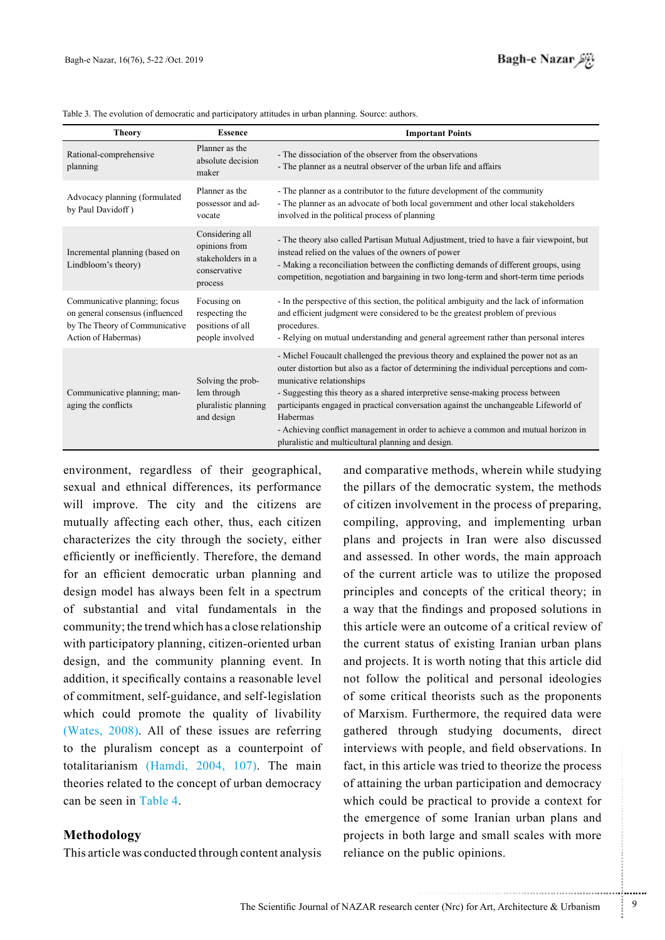| <b>Theory</b>                                                                                                              | <b>Essence</b>                                                                   | <b>Important Points</b>                                                                                                                                                                                                                                                                                                                                                                                                                                                                                                                      |  |
|----------------------------------------------------------------------------------------------------------------------------|----------------------------------------------------------------------------------|----------------------------------------------------------------------------------------------------------------------------------------------------------------------------------------------------------------------------------------------------------------------------------------------------------------------------------------------------------------------------------------------------------------------------------------------------------------------------------------------------------------------------------------------|--|
| Rational-comprehensive<br>planning                                                                                         | Planner as the<br>absolute decision<br>maker                                     | - The dissociation of the observer from the observations<br>- The planner as a neutral observer of the urban life and affairs                                                                                                                                                                                                                                                                                                                                                                                                                |  |
| Advocacy planning (formulated<br>by Paul Davidoff)                                                                         | Planner as the<br>possessor and ad-<br>vocate                                    | - The planner as a contributor to the future development of the community<br>- The planner as an advocate of both local government and other local stakeholders<br>involved in the political process of planning                                                                                                                                                                                                                                                                                                                             |  |
| Incremental planning (based on<br>Lindbloom's theory)                                                                      | Considering all<br>opinions from<br>stakeholders in a<br>conservative<br>process | - The theory also called Partisan Mutual Adjustment, tried to have a fair viewpoint, but<br>instead relied on the values of the owners of power<br>- Making a reconciliation between the conflicting demands of different groups, using<br>competition, negotiation and bargaining in two long-term and short-term time periods                                                                                                                                                                                                              |  |
| Communicative planning; focus<br>on general consensus (influenced<br>by The Theory of Communicative<br>Action of Habermas) | Focusing on<br>respecting the<br>positions of all<br>people involved             | - In the perspective of this section, the political ambiguity and the lack of information<br>and efficient judgment were considered to be the greatest problem of previous<br>procedures.<br>- Relying on mutual understanding and general agreement rather than personal interes                                                                                                                                                                                                                                                            |  |
| Communicative planning; man-<br>aging the conflicts                                                                        | Solving the prob-<br>lem through<br>pluralistic planning<br>and design           | - Michel Foucault challenged the previous theory and explained the power not as an<br>outer distortion but also as a factor of determining the individual perceptions and com-<br>municative relationships<br>- Suggesting this theory as a shared interpretive sense-making process between<br>participants engaged in practical conversation against the unchangeable Lifeworld of<br>Habermas<br>- Achieving conflict management in order to achieve a common and mutual horizon in<br>pluralistic and multicultural planning and design. |  |

Table 3. The evolution of democratic and participatory attitudes in urban planning. Source: authors.

environment, regardless of their geographical, sexual and ethnical differences, its performance will improve. The city and the citizens are mutually affecting each other, thus, each citizen characterizes the city through the society, either efficiently or inefficiently. Therefore, the demand for an efficient democratic urban planning and design model has always been felt in a spectrum of substantial and vital fundamentals in the community; the trend which has a close relationship with participatory planning, citizen-oriented urban design, and the community planning event. In addition, it specifically contains a reasonable level of commitment, self-guidance, and self-legislation which could promote the quality of livability (Wates,  $2008$ ). All of these issues are referring to the pluralism concept as a counterpoint of totalitarianism (Hamdi, 2004, 107). The main theories related to the concept of urban democracy can be seen in Table 4

### **Methodology**

This article was conducted through content analysis

and comparative methods, wherein while studying the pillars of the democratic system, the methods of citizen involvement in the process of preparing, compiling, approving, and implementing urban plans and projects in Iran were also discussed and assessed. In other words, the main approach of the current article was to utilize the proposed principles and concepts of the critical theory; in a way that the findings and proposed solutions in this article were an outcome of a critical review of the current status of existing Iranian urban plans and projects. It is worth noting that this article did not follow the political and personal ideologies of some critical theorists such as the proponents of Marxism. Furthermore, the required data were gathered through studying documents, direct interviews with people, and field observations. In fact, in this article was tried to theorize the process of attaining the urban participation and democracy which could be practical to provide a context for the emergence of some Iranian urban plans and projects in both large and small scales with more reliance on the public opinions.

...........................................................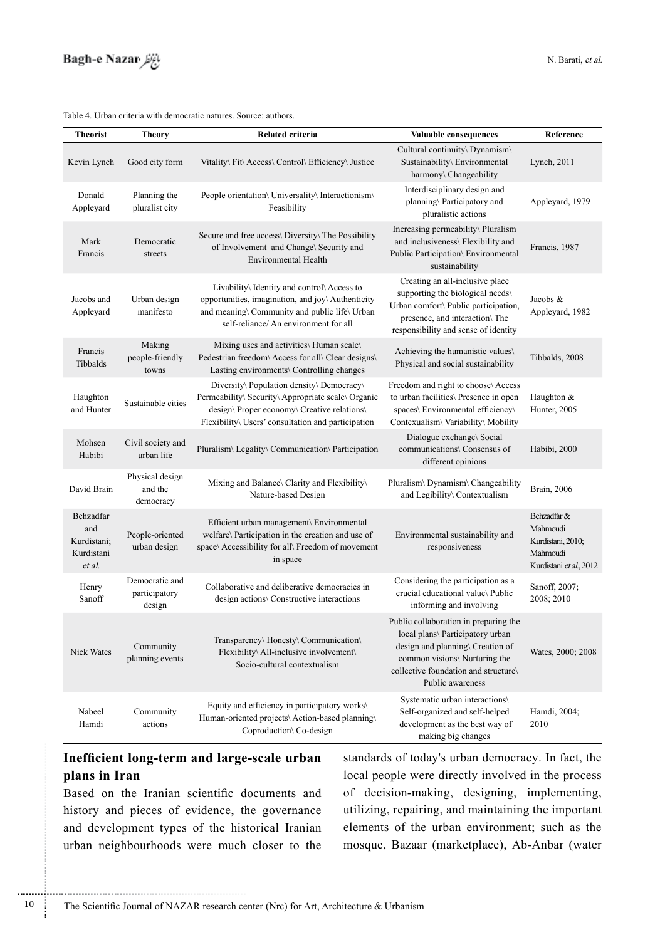

#### Table 4. Urban criteria with democratic natures. Source: authors.

| <b>Theorist</b>                                         | <b>Theory</b>                             | Related criteria                                                                                                                                                                                     | Valuable consequences                                                                                                                                                                                      | Reference                                                                           |
|---------------------------------------------------------|-------------------------------------------|------------------------------------------------------------------------------------------------------------------------------------------------------------------------------------------------------|------------------------------------------------------------------------------------------------------------------------------------------------------------------------------------------------------------|-------------------------------------------------------------------------------------|
| Kevin Lynch                                             | Good city form                            | Vitality\ Fit\ Access\ Control\ Efficiency\ Justice                                                                                                                                                  | Cultural continuity\ Dynamism\<br>Sustainability\ Environmental<br>harmony\ Changeability                                                                                                                  | Lynch, 2011                                                                         |
| Donald<br>Appleyard                                     | Planning the<br>pluralist city            | People orientation\ Universality\ Interactionism\<br>Feasibility                                                                                                                                     | Interdisciplinary design and<br>planning\ Participatory and<br>pluralistic actions                                                                                                                         | Appleyard, 1979                                                                     |
| Mark<br>Francis                                         | Democratic<br>streets                     | Secure and free access\ Diversity\ The Possibility<br>of Involvement and Change\ Security and<br><b>Environmental Health</b>                                                                         | Increasing permeability\ Pluralism<br>and inclusiveness\ Flexibility and<br>Public Participation\ Environmental<br>sustainability                                                                          | Francis, 1987                                                                       |
| Jacobs and<br>Appleyard                                 | Urban design<br>manifesto                 | Livability\ Identity and control\ Access to<br>opportunities, imagination, and joy\ Authenticity<br>and meaning\ Community and public life\ Urban<br>self-reliance/ An environment for all           | Creating an all-inclusive place<br>supporting the biological needs\<br>Urban comfort\ Public participation,<br>presence, and interaction\ The<br>responsibility and sense of identity                      | Jacobs $&$<br>Appleyard, 1982                                                       |
| Francis<br>Tibbalds                                     | Making<br>people-friendly<br>towns        | Mixing uses and activities\ Human scale\<br>Pedestrian freedom\ Access for all\ Clear designs\<br>Lasting environments\ Controlling changes                                                          | Achieving the humanistic values\<br>Physical and social sustainability                                                                                                                                     | Tibbalds, 2008                                                                      |
| Haughton<br>and Hunter                                  | Sustainable cities                        | Diversity\ Population density\ Democracy\<br>Permeability\ Security\ Appropriate scale\ Organic<br>design\ Proper economy\ Creative relations\<br>Flexibility\ Users' consultation and participation | Freedom and right to choose\ Access<br>to urban facilities\ Presence in open<br>spaces\ Environmental efficiency\<br>Contexualism\ Variability\ Mobility                                                   | Haughton &<br>Hunter, 2005                                                          |
| Mohsen<br>Habibi                                        | Civil society and<br>urban life           | Pluralism\ Legality\ Communication\ Participation                                                                                                                                                    | Dialogue exchange\ Social<br>communications\ Consensus of<br>different opinions                                                                                                                            | Habibi, 2000                                                                        |
| David Brain                                             | Physical design<br>and the<br>democracy   | Mixing and Balance\ Clarity and Flexibility\<br>Nature-based Design                                                                                                                                  | Pluralism\ Dynamism\ Changeability<br>and Legibility\ Contextualism                                                                                                                                        | Brain, 2006                                                                         |
| Behzadfar<br>and<br>Kurdistani;<br>Kurdistani<br>et al. | People-oriented<br>urban design           | Efficient urban management\ Environmental<br>welfare\ Participation in the creation and use of<br>space\ Accessibility for all\ Freedom of movement<br>in space                                      | Environmental sustainability and<br>responsiveness                                                                                                                                                         | Behzadfar &<br>Mahmoudi<br>Kurdistani, 2010;<br>Mahmoudi<br>Kurdistani et al., 2012 |
| Henry<br>Sanoff                                         | Democratic and<br>participatory<br>design | Collaborative and deliberative democracies in<br>design actions\ Constructive interactions                                                                                                           | Considering the participation as a<br>crucial educational value\ Public<br>informing and involving                                                                                                         | Sanoff, 2007;<br>2008; 2010                                                         |
| Nick Wates                                              | Community<br>planning events              | Transparency\ Honesty\ Communication\<br>Flexibility\ All-inclusive involvement\<br>Socio-cultural contextualism                                                                                     | Public collaboration in preparing the<br>local plans\ Participatory urban<br>design and planning\ Creation of<br>common visions\ Nurturing the<br>collective foundation and structure\<br>Public awareness | Wates, 2000; 2008                                                                   |
| Nabeel<br>Hamdi                                         | Community<br>actions                      | Equity and efficiency in participatory works\<br>Human-oriented projects\ Action-based planning\<br>Coproduction\ Co-design                                                                          | Systematic urban interactions\<br>Self-organized and self-helped<br>development as the best way of<br>making big changes                                                                                   | Hamdi, 2004;<br>2010                                                                |

# **Inefficient long-term and large-scale urban** plans in Iran

Based on the Iranian scientific documents and history and pieces of evidence, the governance and development types of the historical Iranian urban neighbourhoods were much closer to the

standards of today's urban democracy. In fact, the local people were directly involved in the process of decision-making, designing, implementing, utilizing, repairing, and maintaining the important elements of the urban environment; such as the mosque, Bazaar (marketplace), Ab-Anbar (water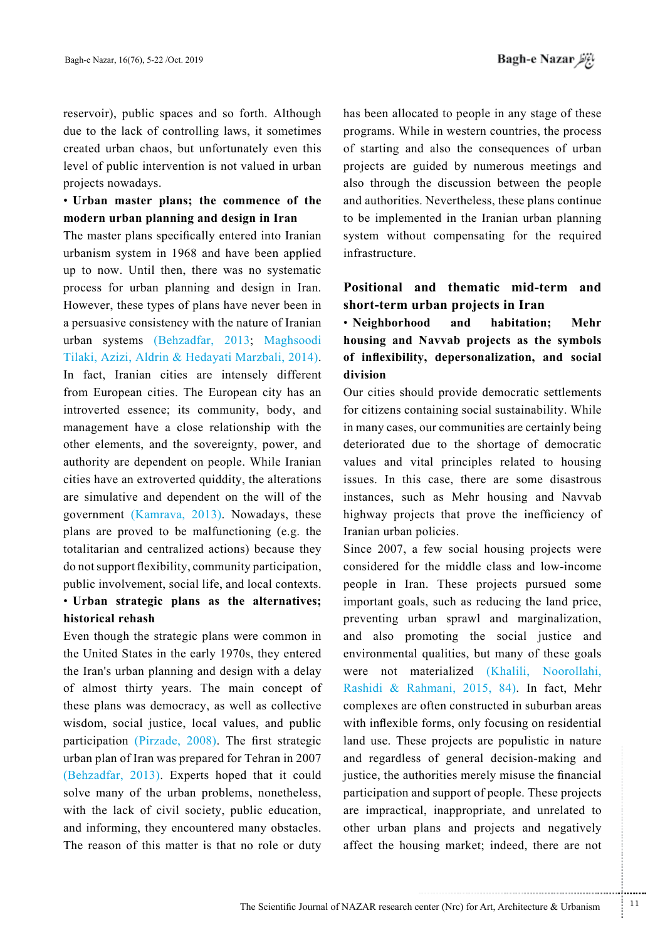reservoir), public spaces and so forth. Although due to the lack of controlling laws, it sometimes created urban chaos, but unfortunately even this level of public intervention is not valued in urban projects nowadays.

### **• Urban master plans; the commence of the III** modern urban planning and design in Iran

The master plans specifically entered into Iranian urbanism system in 1968 and have been applied up to now. Until then, there was no systematic process for urban planning and design in Iran. However, these types of plans have never been in a persuasive consistency with the nature of Iranian urban systems (Behzadfar, 2013; Maghsoodi Tilaki, Azizi, Aldrin & Hedayati Marzbali, 2014). In fact, Iranian cities are intensely different from European cities. The European city has an introverted essence; its community, body, and management have a close relationship with the other elements, and the sovereignty, power, and authority are dependent on people. While Iranian cities have an extroverted quiddity, the alterations are simulative and dependent on the will of the government (Kamrava, 2013). Nowadays, these plans are proved to be malfunctioning  $(e.g.$  the totalitarian and centralized actions) because they do not support flexibility, community participation, public involvement, social life, and local contexts.

# • Urban strategic plans as the alternatives; historical rehash

Even though the strategic plans were common in the United States in the early 1970s, they entered the Iran's urban planning and design with a delay of almost thirty years. The main concept of these plans was democracy, as well as collective wisdom, social justice, local values, and public participation (Pirzade,  $2008$ ). The first strategic urban plan of Iran was prepared for Tehran in 2007 (Behzadfar, 2013). Experts hoped that it could solve many of the urban problems, nonetheless, with the lack of civil society, public education, and informing, they encountered many obstacles. The reason of this matter is that no role or duty has been allocated to people in any stage of these programs. While in western countries, the process of starting and also the consequences of urban projects are guided by numerous meetings and also through the discussion between the people and authorities. Nevertheless, these plans continue to be implemented in the Iranian urban planning system without compensating for the required .infrastructure

### Positional and thematic mid-term and short-term urban projects in Iran

• Neighborhood and habitation; Mehr housing and Navvab projects as the symbols of inflexibility, depersonalization, and social **division**

Our cities should provide democratic settlements for citizens containing social sustainability. While in many cases, our communities are certainly being deteriorated due to the shortage of democratic values and vital principles related to housing issues. In this case, there are some disastrous instances, such as Mehr housing and Navvab highway projects that prove the inefficiency of Iranian urban policies.

Since 2007, a few social housing projects were considered for the middle class and low-income people in Iran. These projects pursued some important goals, such as reducing the land price, preventing urban sprawl and marginalization, and also promoting the social justice and environmental qualities, but many of these goals were not materialized (Khalili, Noorollahi, Rashidi & Rahmani, 2015, 84). In fact, Mehr complexes are often constructed in suburban areas with inflexible forms, only focusing on residential land use. These projects are populistic in nature and regardless of general decision-making and justice, the authorities merely misuse the financial participation and support of people. These projects are impractical, inappropriate, and unrelated to other urban plans and projects and negatively affect the housing market; indeed, there are not

.......... ....... ........ ........... ...... ....... ........ .......... ...........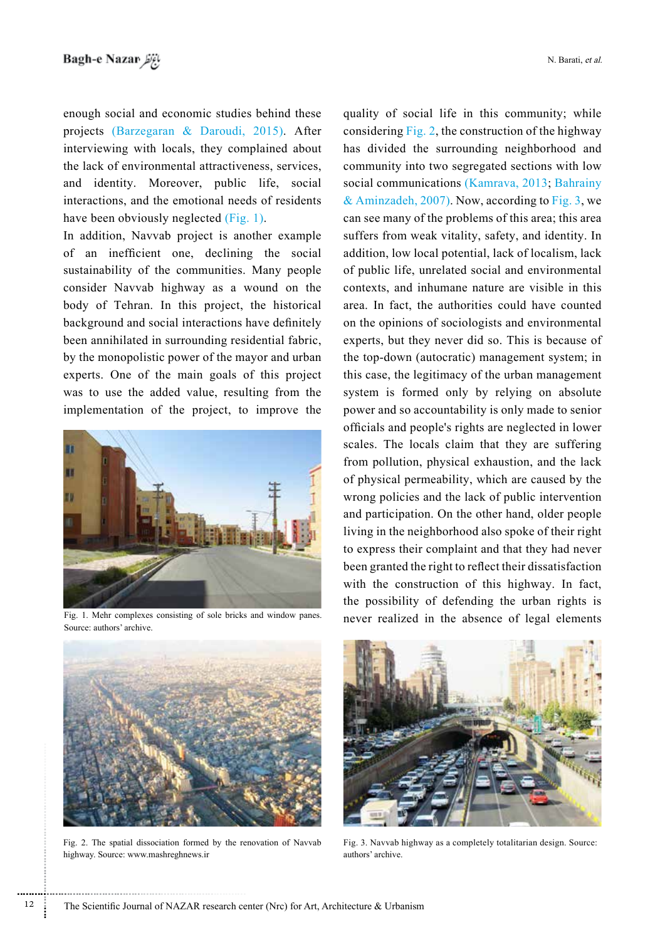enough social and economic studies behind these projects (Barzegaran & Daroudi, 2015). After interviewing with locals, they complained about the lack of environmental attractiveness, services, and identity. Moreover, public life, social interactions, and the emotional needs of residents have been obviously neglected  $(Fig. 1)$ .

In addition, Navvab project is another example of an inefficient one, declining the social sustainability of the communities. Many people consider Navvab highway as a wound on the body of Tehran. In this project, the historical background and social interactions have definitely been annihilated in surrounding residential fabric, by the monopolistic power of the mayor and urban experts. One of the main goals of this project was to use the added value, resulting from the implementation of the project, to improve the



Source: authors' archive.

quality of social life in this community; while considering  $Fig. 2$ , the construction of the highway has divided the surrounding neighborhood and community into two segregated sections with low social communications (Kamrava, 2013; Bahrainy & Aminzadeh, 2007). Now, according to Fig. 3, we can see many of the problems of this area; this area suffers from weak vitality, safety, and identity. In addition, low local potential, lack of localism, lack of public life, unrelated social and environmental contexts, and inhumane nature are visible in this area. In fact, the authorities could have counted on the opinions of sociologists and environmental experts, but they never did so. This is because of the top-down (autocratic) management system; in this case, the legitimacy of the urban management system is formed only by relying on absolute power and so accountability is only made to senior officials and people's rights are neglected in lower scales. The locals claim that they are suffering from pollution, physical exhaustion, and the lack of physical permeability, which are caused by the wrong policies and the lack of public intervention and participation. On the other hand, older people living in the neighborhood also spoke of their right to express their complaint and that they had never been granted the right to reflect their dissatisfaction with the construction of this highway. In fact, the possibility of defending the urban rights is Fig. 1. Mehr complexes consisting of sole bricks and window panes. <br>
never realized in the absence of legal elements



Fig. 2. The spatial dissociation formed by the renovation of Navvab highway. Source: www.mashreghnews.ir



Fig. 3. Navvab highway as a completely totalitarian design. Source: authors' archive.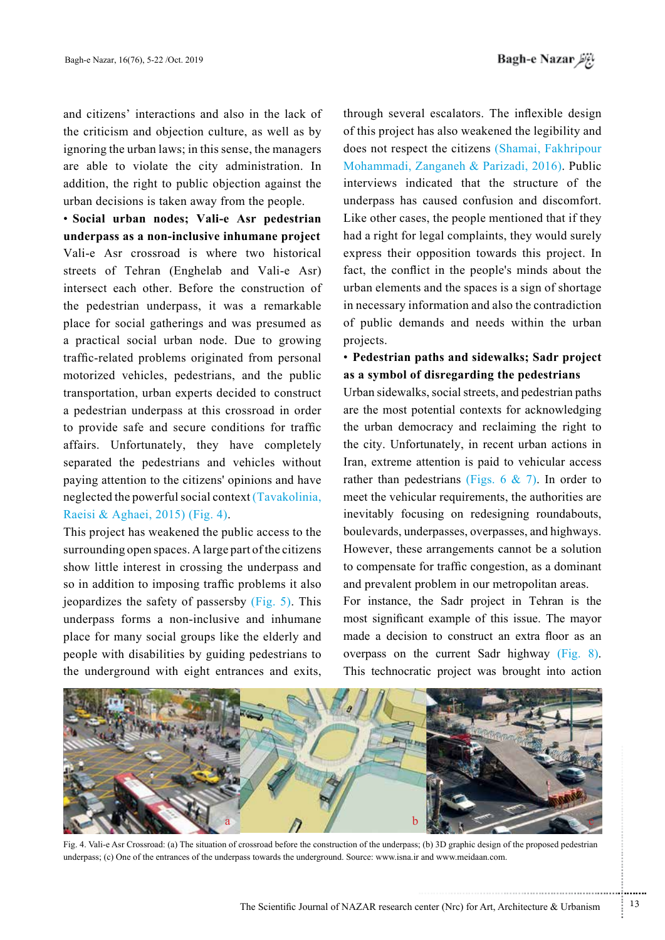and citizens' interactions and also in the lack of the criticism and objection culture, as well as by ignoring the urban laws; in this sense, the managers are able to violate the city administration. In addition, the right to public objection against the urban decisions is taken away from the people.

**• Social urban nodes; Vali-e Asr pedestrian underpass as a non-inclusive inhumane project** Vali-e Asr crossroad is where two historical streets of Tehran (Enghelab and Vali-e Asr) intersect each other. Before the construction of the pedestrian underpass, it was a remarkable place for social gatherings and was presumed as a practical social urban node. Due to growing traffic-related problems originated from personal motorized vehicles, pedestrians, and the public transportation, urban experts decided to construct a pedestrian underpass at this crossroad in order to provide safe and secure conditions for traffic affairs. Unfortunately, they have completely separated the pedestrians and vehicles without paying attention to the citizens' opinions and have neglected the powerful social context  $(Tavakolinia)$ . Raeisi & Aghaei, 2015) (Fig. 4).

This project has weakened the public access to the surrounding open spaces. A large part of the citizens show little interest in crossing the underpass and so in addition to imposing traffic problems it also jeopardizes the safety of passersby  $(Fig. 5)$ . This underpass forms a non-inclusive and inhumane place for many social groups like the elderly and people with disabilities by guiding pedestrians to the underground with eight entrances and exits,

through several escalators. The inflexible design of this project has also weakened the legibility and does not respect the citizens (Shamai, Fakhripour Mohammadi, Zanganeh & Parizadi, 2016). Public interviews indicated that the structure of the underpass has caused confusion and discomfort. Like other cases, the people mentioned that if they had a right for legal complaints, they would surely express their opposition towards this project. In fact, the conflict in the people's minds about the urban elements and the spaces is a sign of shortage in necessary information and also the contradiction of public demands and needs within the urban projects.

### **• Pedestrian paths and sidewalks; Sadr project** as a symbol of disregarding the pedestrians

Urban sidewalks, social streets, and pedestrian paths are the most potential contexts for acknowledging the urban democracy and reclaiming the right to the city. Unfortunately, in recent urban actions in Iran, extreme attention is paid to vehicular access rather than pedestrians (Figs. 6 & 7). In order to meet the vehicular requirements, the authorities are inevitably focusing on redesigning roundabouts, boulevards, underpasses, overpasses, and highways. However, these arrangements cannot be a solution to compensate for traffic congestion, as a dominant and prevalent problem in our metropolitan areas.

For instance, the Sadr project in Tehran is the most significant example of this issue. The mayor made a decision to construct an extra floor as an overpass on the current Sadr highway  $(Fig. 8)$ . This technocratic project was brought into action



Fig. 4. Vali-e Asr Crossroad: (a) The situation of crossroad before the construction of the underpass; (b) 3D graphic design of the proposed pedestrian underpass; (c) One of the entrances of the underpass towards the underground. Source: www.isna.ir and www.meidaan.com.

...........................................................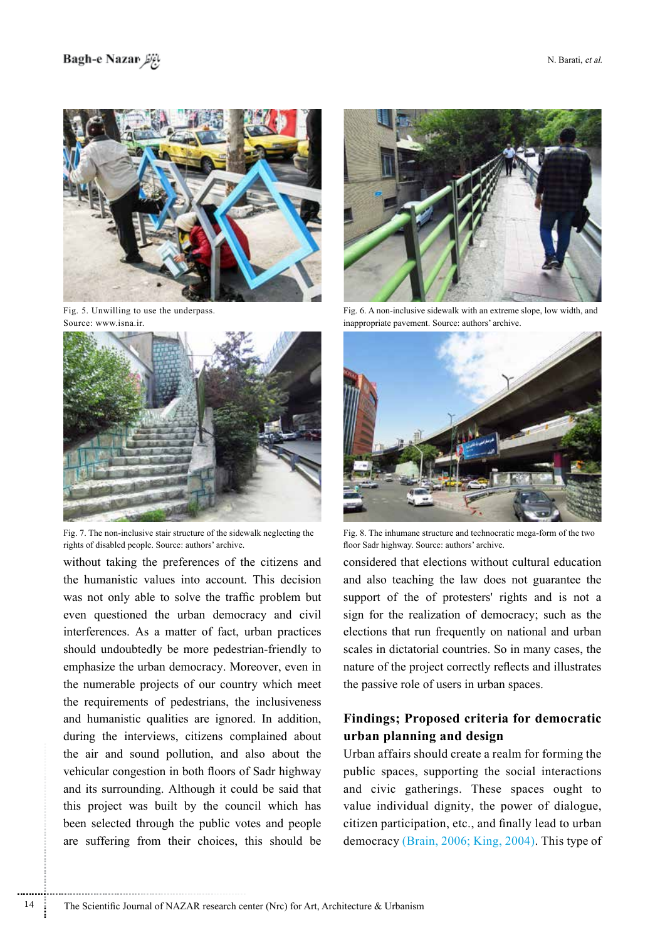

Fig. 5. Unwilling to use the underpass. Source: www.isna.ir.



Fig. 7. The non-inclusive stair structure of the sidewalk neglecting the rights of disabled people. Source: authors' archive.

without taking the preferences of the citizens and the humanistic values into account. This decision was not only able to solve the traffic problem but even questioned the urban democracy and civil interferences. As a matter of fact, urban practices should undoubtedly be more pedestrian-friendly to emphasize the urban democracy. Moreover, even in the numerable projects of our country which meet the requirements of pedestrians, the inclusiveness and humanistic qualities are ignored. In addition, during the interviews, citizens complained about the air and sound pollution, and also about the vehicular congestion in both floors of Sadr highway and its surrounding. Although it could be said that this project was built by the council which has been selected through the public votes and people are suffering from their choices, this should be

............................................................



Fig. 6. A non-inclusive sidewalk with an extreme slope, low width, and inappropriate pavement. Source: authors' archive.



Fig. 8. The inhumane structure and technocratic mega-form of the two floor Sadr highway. Source: authors' archive.

considered that elections without cultural education and also teaching the law does not guarantee the support of the of protesters' rights and is not a sign for the realization of democracy; such as the elections that run frequently on national and urban scales in dictatorial countries. So in many cases, the nature of the project correctly reflects and illustrates the passive role of users in urban spaces.

### **Findings**; Proposed criteria for democratic  **design and planning urban**

Urban affairs should create a realm for forming the public spaces, supporting the social interactions and civic gatherings. These spaces ought to value individual dignity, the power of dialogue, citizen participation, etc., and finally lead to urban democracy  $(Brain, 2006; King, 2004)$ . This type of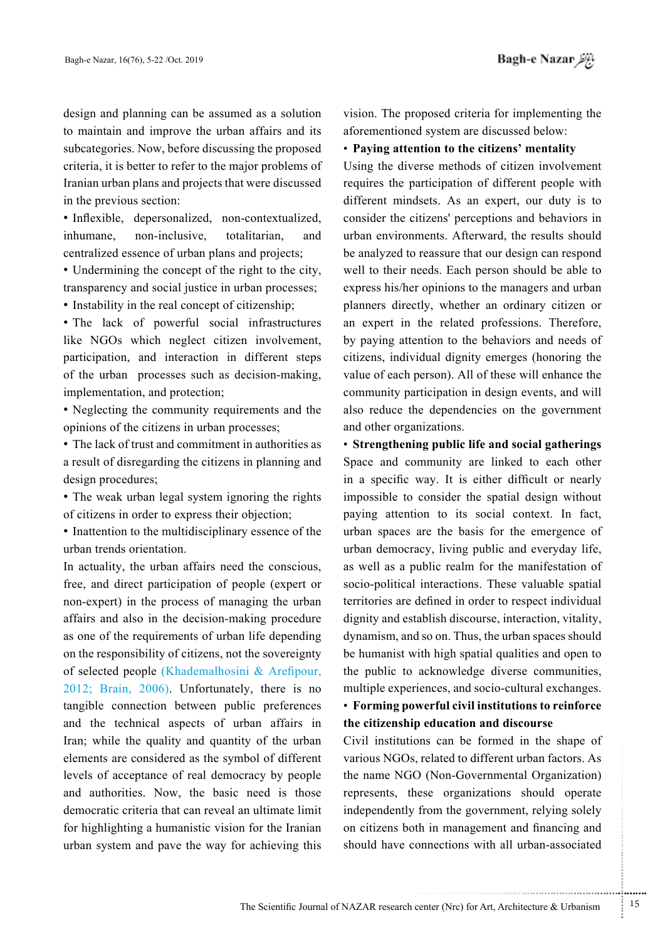design and planning can be assumed as a solution to maintain and improve the urban affairs and its subcategories. Now, before discussing the proposed criteria, it is better to refer to the major problems of Iranian urban plans and projects that were discussed in the previous section:

• Inflexible, depersonalized, non-contextualized, inhumane, non-inclusive, totalitarian, and centralized essence of urban plans and projects;

• Undermining the concept of the right to the city, transparency and social justice in urban processes;

• Instability in the real concept of citizenship;

• The lack of powerful social infrastructures like NGOs which neglect citizen involvement, participation, and interaction in different steps of the urban processes such as decision-making, implementation, and protection;

• Neglecting the community requirements and the opinions of the citizens in urban processes;

• The lack of trust and commitment in authorities as a result of disregarding the citizens in planning and design procedures;

• The weak urban legal system ignoring the rights of citizens in order to express their objection;

 $\bullet$  Inattention to the multidisciplinary essence of the urban trends orientation.

In actuality, the urban affairs need the conscious, free, and direct participation of people (expert or non-expert) in the process of managing the urban affairs and also in the decision-making procedure as one of the requirements of urban life depending on the responsibility of citizens, not the sovereignty of selected people (Khademalhosini  $\&$  Arefipour,  $2012$ ; Brain,  $2006$ ). Unfortunately, there is no tangible connection between public preferences and the technical aspects of urban affairs in Iran; while the quality and quantity of the urban elements are considered as the symbol of different levels of acceptance of real democracy by people and authorities. Now, the basic need is those democratic criteria that can reveal an ultimate limit for highlighting a humanistic vision for the Iranian urban system and pave the way for achieving this

vision. The proposed criteria for implementing the aforementioned system are discussed below:

#### **• Paying attention to the citizens' mentality**

Using the diverse methods of citizen involvement requires the participation of different people with different mindsets. As an expert, our duty is to consider the citizens' perceptions and behaviors in urban environments. Afterward, the results should be analyzed to reassure that our design can respond well to their needs. Each person should be able to express his/her opinions to the managers and urban planners directly, whether an ordinary citizen or an expert in the related professions. Therefore, by paying attention to the behaviors and needs of citizens, individual dignity emerges (honoring the value of each person). All of these will enhance the community participation in design events, and will also reduce the dependencies on the government and other organizations.

• Strengthening public life and social gatherings Space and community are linked to each other in a specific way. It is either difficult or nearly impossible to consider the spatial design without paying attention to its social context. In fact, urban spaces are the basis for the emergence of urban democracy, living public and everyday life, as well as a public realm for the manifestation of socio-political interactions. These valuable spatial territories are defined in order to respect individual dignity and establish discourse, interaction, vitality, dynamism, and so on. Thus, the urban spaces should be humanist with high spatial qualities and open to the public to acknowledge diverse communities, multiple experiences, and socio-cultural exchanges.

### **• Forming powerful civil institutions to reinforce** the citizenship education and discourse

Civil institutions can be formed in the shape of various NGOs, related to different urban factors. As the name NGO (Non-Governmental Organization) represents, these organizations should operate independently from the government, relying solely on citizens both in management and financing and should have connections with all urban-associated

.......... ....... ........ ........... ...... ....... ........ .......... ...........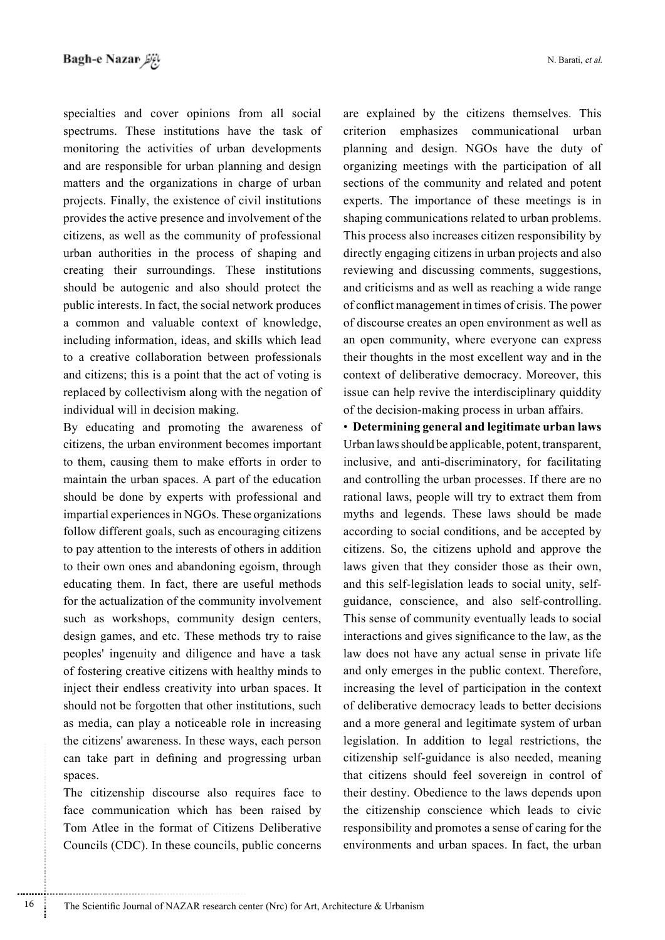specialties and cover opinions from all social spectrums. These institutions have the task of monitoring the activities of urban developments and are responsible for urban planning and design matters and the organizations in charge of urban projects. Finally, the existence of civil institutions provides the active presence and involvement of the citizens, as well as the community of professional urban authorities in the process of shaping and creating their surroundings. These institutions should be autogenic and also should protect the public interests. In fact, the social network produces a common and valuable context of knowledge, including information, ideas, and skills which lead to a creative collaboration between professionals and citizens; this is a point that the act of voting is replaced by collectivism along with the negation of individual will in decision making.

By educating and promoting the awareness of citizens, the urban environment becomes important to them, causing them to make efforts in order to maintain the urban spaces. A part of the education should be done by experts with professional and impartial experiences in NGOs. These organizations follow different goals, such as encouraging citizens to pay attention to the interests of others in addition to their own ones and abandoning egoism, through educating them. In fact, there are useful methods for the actualization of the community involvement such as workshops, community design centers, design games, and etc. These methods try to raise peoples' ingenuity and diligence and have a task of fostering creative citizens with healthy minds to inject their endless creativity into urban spaces. It should not be forgotten that other institutions, such as media, can play a noticeable role in increasing the citizens' awareness. In these ways, each person can take part in defining and progressing urban spaces.

The citizenship discourse also requires face to face communication which has been raised by Tom Atlee in the format of Citizens Deliberative Councils (CDC). In these councils, public concerns

............................................................

are explained by the citizens themselves. This criterion emphasizes communicational urban planning and design. NGOs have the duty of organizing meetings with the participation of all sections of the community and related and potent experts. The importance of these meetings is in shaping communications related to urban problems. This process also increases citizen responsibility by directly engaging citizens in urban projects and also reviewing and discussing comments, suggestions, and criticisms and as well as reaching a wide range of conflict management in times of crisis. The power of discourse creates an open environment as well as an open community, where everyone can express their thoughts in the most excellent way and in the context of deliberative democracy. Moreover, this issue can help revive the interdisciplinary quiddity of the decision-making process in urban affairs.

**• Determining general and legitimate urban laws** Urban laws should be applicable, potent, transparent, inclusive, and anti-discriminatory, for facilitating and controlling the urban processes. If there are no rational laws, people will try to extract them from myths and legends. These laws should be made according to social conditions, and be accepted by citizens. So, the citizens uphold and approve the laws given that they consider those as their own, guidance, conscience, and also self-controlling. and this self-legislation leads to social unity, self-This sense of community eventually leads to social interactions and gives significance to the law, as the law does not have any actual sense in private life and only emerges in the public context. Therefore, increasing the level of participation in the context of deliberative democracy leads to better decisions and a more general and legitimate system of urban legislation. In addition to legal restrictions, the citizenship self-guidance is also needed, meaning that citizens should feel sovereign in control of their destiny. Obedience to the laws depends upon the citizenship conscience which leads to civic responsibility and promotes a sense of caring for the environments and urban spaces. In fact, the urban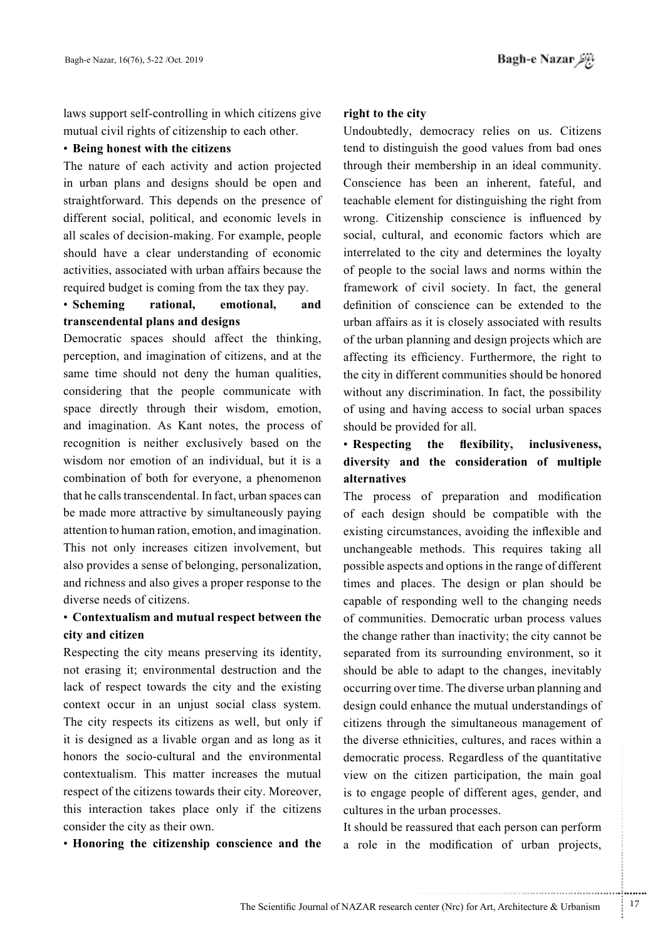laws support self-controlling in which citizens give mutual civil rights of citizenship to each other.

#### **• Being honest with the citizens**

The nature of each activity and action projected in urban plans and designs should be open and straightforward. This depends on the presence of different social, political, and economic levels in all scales of decision-making. For example, people should have a clear understanding of economic activities, associated with urban affairs because the required budget is coming from the tax they pay.

### • Scheming rational, emotional, and transcendental plans and designs

Democratic spaces should affect the thinking, perception, and imagination of citizens, and at the same time should not deny the human qualities, considering that the people communicate with space directly through their wisdom, emotion, and imagination. As Kant notes, the process of recognition is neither exclusively based on the wisdom nor emotion of an individual, but it is a combination of both for everyone, a phenomenon that he calls transcendental. In fact, urban spaces can be made more attractive by simultaneously paying attention to human ration, emotion, and imagination. This not only increases citizen involvement, but also provides a sense of belonging, personalization, and richness and also gives a proper response to the diverse needs of citizens.

### **• Contextualism and mutual respect between the** city and citizen

Respecting the city means preserving its identity, not erasing it; environmental destruction and the lack of respect towards the city and the existing context occur in an unjust social class system. The city respects its citizens as well, but only if it is designed as a livable organ and as long as it honors the socio-cultural and the environmental contextualism. This matter increases the mutual respect of the citizens towards their city. Moreover, this interaction takes place only if the citizens consider the city as their own.

• Honoring the citizenship conscience and the

### right to the city

Undoubtedly, democracy relies on us. Citizens tend to distinguish the good values from bad ones through their membership in an ideal community. Conscience has been an inherent, fateful, and teachable element for distinguishing the right from wrong. Citizenship conscience is influenced by social, cultural, and economic factors which are interrelated to the city and determines the loyalty of people to the social laws and norms within the framework of civil society. In fact, the general definition of conscience can be extended to the urban affairs as it is closely associated with results of the urban planning and design projects which are affecting its efficiency. Furthermore, the right to the city in different communities should be honored without any discrimination. In fact, the possibility of using and having access to social urban spaces should be provided for all.

## • Respecting the flexibility, inclusiveness, diversity and the consideration of multiple **alternatives**

The process of preparation and modification of each design should be compatible with the existing circumstances, avoiding the inflexible and unchangeable methods. This requires taking all possible aspects and options in the range of different times and places. The design or plan should be capable of responding well to the changing needs of communities. Democratic urban process values the change rather than inactivity; the city cannot be separated from its surrounding environment, so it should be able to adapt to the changes, inevitably occurring over time. The diverse urban planning and design could enhance the mutual understandings of citizens through the simultaneous management of the diverse ethnicities, cultures, and races within a democratic process. Regardless of the quantitative view on the citizen participation, the main goal is to engage people of different ages, gender, and cultures in the urban processes.

It should be reassured that each person can perform a role in the modification of urban projects,

.......... ....... ........ ........... ...... ....... ........ .......... ...........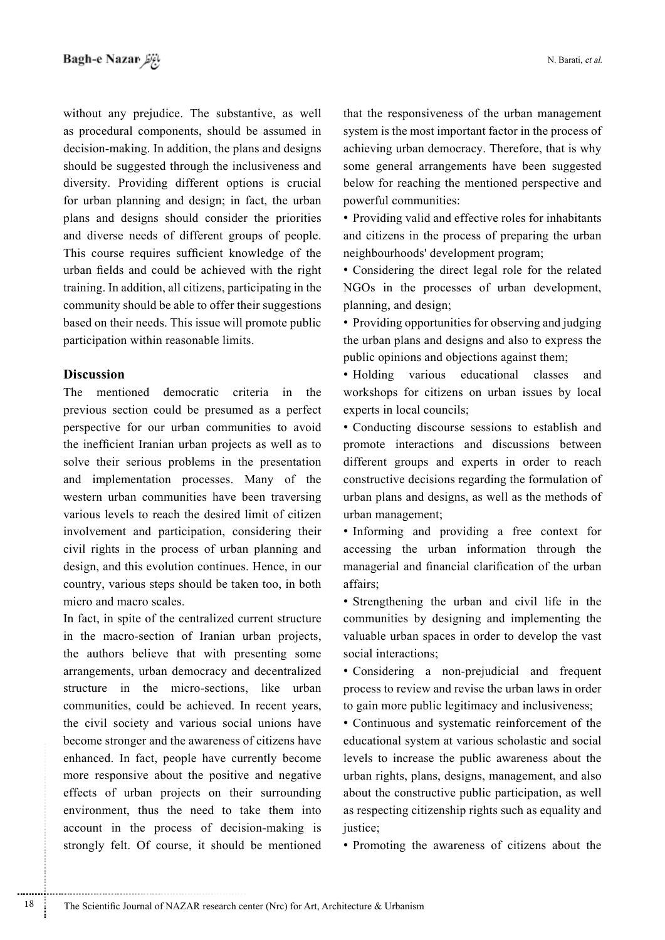without any prejudice. The substantive, as well as procedural components, should be assumed in decision-making. In addition, the plans and designs should be suggested through the inclusiveness and diversity. Providing different options is crucial for urban planning and design; in fact, the urban plans and designs should consider the priorities and diverse needs of different groups of people. This course requires sufficient knowledge of the urban fields and could be achieved with the right training. In addition, all citizens, participating in the community should be able to offer their suggestions based on their needs. This issue will promote public participation within reasonable limits.

### **Discussion**

............................................................

The mentioned democratic criteria in the previous section could be presumed as a perfect perspective for our urban communities to avoid the inefficient Iranian urban projects as well as to solve their serious problems in the presentation and implementation processes. Many of the western urban communities have been traversing various levels to reach the desired limit of citizen involvement and participation, considering their civil rights in the process of urban planning and design, and this evolution continues. Hence, in our country, various steps should be taken too, in both micro and macro scales.

In fact, in spite of the centralized current structure in the macro-section of Iranian urban projects, the authors believe that with presenting some arrangements, urban democracy and decentralized structure in the micro-sections, like urban communities, could be achieved. In recent years, the civil society and various social unions have become stronger and the awareness of citizens have enhanced. In fact, people have currently become more responsive about the positive and negative effects of urban projects on their surrounding environment, thus the need to take them into account in the process of decision-making is strongly felt. Of course, it should be mentioned that the responsiveness of the urban management system is the most important factor in the process of achieving urban democracy. Therefore, that is why some general arrangements have been suggested below for reaching the mentioned perspective and powerful communities:

• Providing valid and effective roles for inhabitants and citizens in the process of preparing the urban neighbourhoods' development program;

• Considering the direct legal role for the related NGOs in the processes of urban development, planning, and design;

• Providing opportunities for observing and judging the urban plans and designs and also to express the public opinions and objections against them;

• Holding various educational classes and workshops for citizens on urban issues by local experts in local councils:

• Conducting discourse sessions to establish and promote interactions and discussions between different groups and experts in order to reach constructive decisions regarding the formulation of urban plans and designs, as well as the methods of urban management;

• Informing and providing a free context for accessing the urban information through the managerial and financial clarification of the urban affairs<sup>.</sup>

• Strengthening the urban and civil life in the communities by designing and implementing the valuable urban spaces in order to develop the vast social interactions;

• Considering a non-prejudicial and frequent process to review and revise the urban laws in order to gain more public legitimacy and inclusiveness;

• Continuous and systematic reinforcement of the educational system at various scholastic and social levels to increase the public awareness about the urban rights, plans, designs, management, and also about the constructive public participation, as well as respecting citizenship rights such as equality and justice;

• Promoting the awareness of citizens about the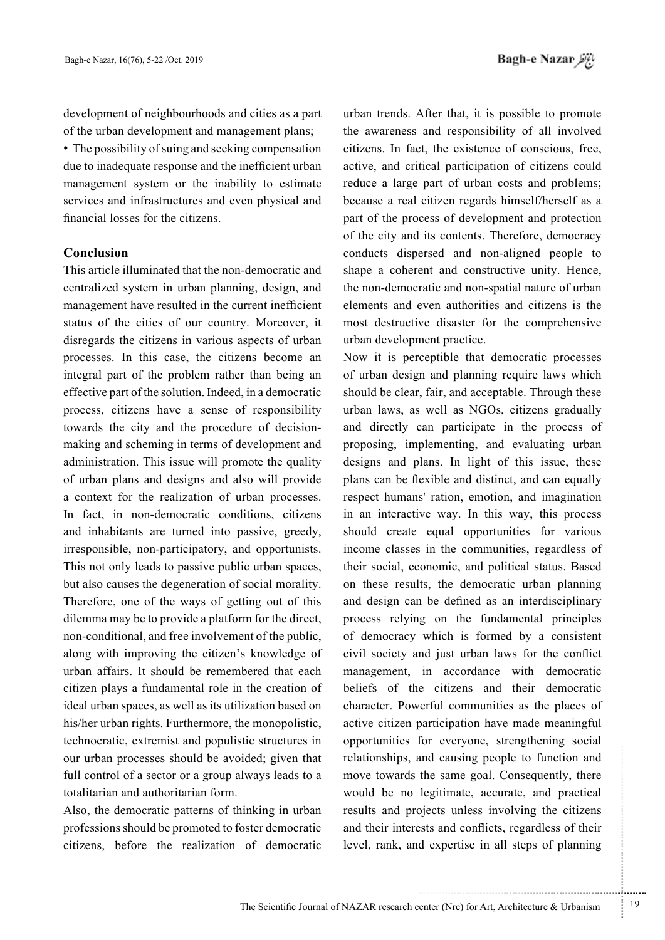development of neighbourhoods and cities as a part of the urban development and management plans;

• The possibility of suing and seeking compensation due to inadequate response and the inefficient urban management system or the inability to estimate services and infrastructures and even physical and financial losses for the citizens.

### **Conclusion**

This article illuminated that the non-democratic and centralized system in urban planning, design, and management have resulted in the current inefficient status of the cities of our country. Moreover, it disregards the citizens in various aspects of urban processes. In this case, the citizens become an integral part of the problem rather than being an effective part of the solution. Indeed, in a democratic process, citizens have a sense of responsibility making and scheming in terms of development and towards the city and the procedure of decisionadministration. This issue will promote the quality of urban plans and designs and also will provide a context for the realization of urban processes. In fact, in non-democratic conditions, citizens and inhabitants are turned into passive, greedy, irresponsible, non-participatory, and opportunists. This not only leads to passive public urban spaces, but also causes the degeneration of social morality. Therefore, one of the ways of getting out of this dilemma may be to provide a platform for the direct, non-conditional, and free involvement of the public, along with improving the citizen's knowledge of urban affairs. It should be remembered that each citizen plays a fundamental role in the creation of ideal urban spaces, as well as its utilization based on his/her urban rights. Furthermore, the monopolistic, technocratic, extremist and populistic structures in our urban processes should be avoided; given that full control of a sector or a group always leads to a totalitarian and authoritarian form.

Also, the democratic patterns of thinking in urban professions should be promoted to foster democratic citizens, before the realization of democratic

urban trends. After that, it is possible to promote the awareness and responsibility of all involved citizens. In fact, the existence of conscious, free, active, and critical participation of citizens could reduce a large part of urban costs and problems; because a real citizen regards himself/herself as a part of the process of development and protection of the city and its contents. Therefore, democracy conducts dispersed and non-aligned people to shape a coherent and constructive unity. Hence, the non-democratic and non-spatial nature of urban elements and even authorities and citizens is the most destructive disaster for the comprehensive urban development practice.

Now it is perceptible that democratic processes of urban design and planning require laws which should be clear, fair, and acceptable. Through these urban laws, as well as NGOs, citizens gradually and directly can participate in the process of proposing, implementing, and evaluating urban designs and plans. In light of this issue, these plans can be flexible and distinct, and can equally respect humans' ration, emotion, and imagination in an interactive way. In this way, this process should create equal opportunities for various income classes in the communities, regardless of their social, economic, and political status. Based on these results, the democratic urban planning and design can be defined as an interdisciplinary process relying on the fundamental principles of democracy which is formed by a consistent civil society and just urban laws for the conflict management, in accordance with democratic beliefs of the citizens and their democratic character. Powerful communities as the places of active citizen participation have made meaningful opportunities for everyone, strengthening social relationships, and causing people to function and move towards the same goal. Consequently, there would be no legitimate, accurate, and practical results and projects unless involving the citizens and their interests and conflicts, regardless of their level, rank, and expertise in all steps of planning

...........................................................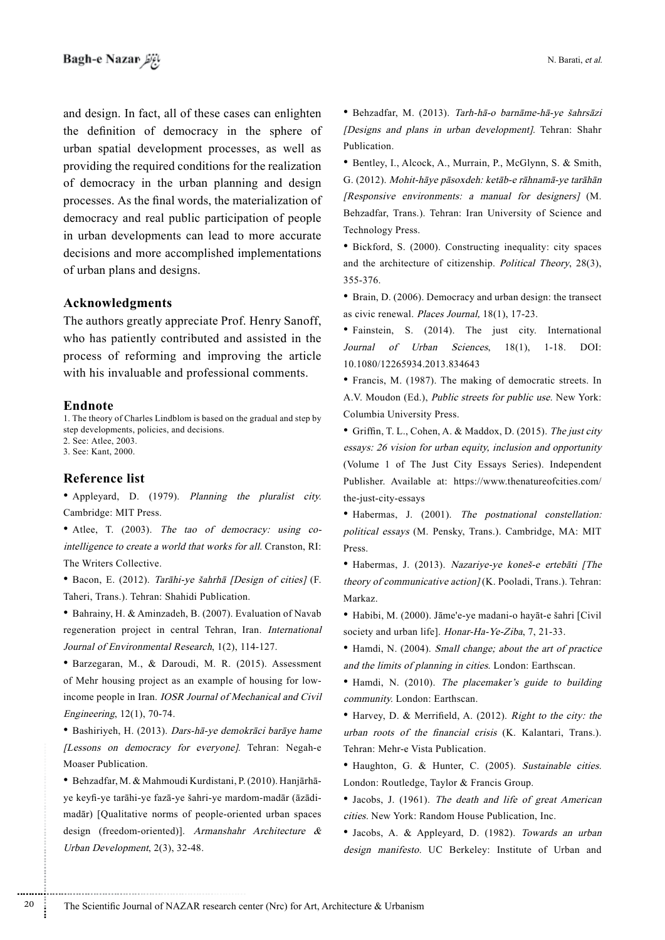and design. In fact, all of these cases can enlighten the definition of democracy in the sphere of urban spatial development processes, as well as providing the required conditions for the realization of democracy in the urban planning and design processes. As the final words, the materialization of democracy and real public participation of people in urban developments can lead to more accurate decisions and more accomplished implementations of urban plans and designs.

#### **Acknowledgments**

The authors greatly appreciate Prof. Henry Sanoff, who has patiently contributed and assisted in the process of reforming and improving the article with his invaluable and professional comments.

#### **Endnote**

1. The theory of Charles Lindblom is based on the gradual and step by step developments, policies, and decisions. 2. See: Atlee, 2003. 3. See: Kant. 2000.

#### **Reference** list

• Appleyard, D. (1979). Planning the pluralist city. Cambridge: MIT Press.

intelligence to create a world that works for all. Cranston, RI: • Atlee, T. (2003). The tao of democracy: using co-The Writers Collective.

• Bacon, E. (2012). Tarāhi-ye-šahrhā [Design of cities] (F. Taheri, Trans.). Tehran: Shahidi Publication.

• Bahrainy, H. & Aminzadeh, B. (2007). Evaluation of Navab regeneration project in central Tehran, Iran. International Journal of Environmental Research, 1(2), 114-127.

• Barzegaran, M., & Daroudi, M. R. (2015). Assessment income people in Iran. IOSR Journal of Mechanical and Civil of Mehr housing project as an example of housing for low-Engineering, 12(1), 70-74.

• Bashiriyeh, H. (2013). Dars-hā-ye demokrāci barāye hame [Lessons on democracy for everyone]. Tehran: Negah-e Moaser Publication.

madār) [Qualitative norms of people-oriented urban spaces ye keyfi-ye tarāhi-ye-fazā-ye-šahri-ye-mardom-madār (āzādi-• Behzadfar, M. & Mahmoudi Kurdistani, P. (2010). Hanjārhādesign (freedom-oriented)]. Armanshahr Architecture  $\&$ Urban Development,  $2(3)$ ,  $32-48$ .

• Behzadfar, M. (2013). Tarh-hā-o barnāme-hā-ve šahrsāzi (Designs and plans in urban development). Tehran: Shahr Publication.

• Bentley, I., Alcock, A., Murrain, P., McGlynn, S. & Smith, G. (2012). Mohit-hāye pāsoxdeh: ketāb-e rāhnamā-ye tarāhān  $[Response$  environments: a manual for designers] (M. Behzadfar, Trans.). Tehran: Iran University of Science and Technology Press.

• Bickford, S. (2000). Constructing inequality: city spaces and the architecture of citizenship. Political Theory, 28(3), 355-376.

 $\bullet$  Brain, D. (2006). Democracy and urban design: the transect as civic renewal. *Places Journal*,  $18(1)$ ,  $17-23$ .

• Fainstein, S. (2014). The just city. International Journal of Urban Sciences, 18(1), 1-18. DOI: 10.1080/12265934.2013.834643

• Francis, M. (1987). The making of democratic streets. In A.V. Moudon (Ed.), Public streets for public use. New York: Columbia University Press.

Griffin, T. L., Cohen, A. & Maddox, D. (2015). The just city  $\cos\theta$  essays: 26 vision for urban equity, inclusion and opportunity (Volume 1 of The Just City Essays Series). Independent Publisher. Available at: https://www.thenatureofcities.com/ the-just-city-essays

• Habermas, J. (2001). The postnational constellation: political essays (M. Pensky, Trans.). Cambridge, MA: MIT .Press

• Habermas, J. (2013). Nazariye-ye koneš-e ertebāti [The theory of communicative action  $/(K)$ . Pooladi, Trans.). Tehran: Markaz.

• Habibi, M. (2000). Jāme'e-ye madani-o hayāt-e šahri [Civil society and urban life]. Honar-Ha-Ye-Ziba, 7, 21-33.

• Hamdi, N. (2004). Small change; about the art of practice and the limits of planning in cities. London: Earthscan.

• Hamdi, N. (2010). The placemaker's guide to building community. London: Earthscan.

• Harvey, D. & Merrifield, A. (2012). Right to the city: the urban roots of the financial crisis (K. Kalantari, Trans.). Tehran: Mehr-e Vista Publication.

• Haughton, G. & Hunter, C. (2005). Sustainable cities. London: Routledge, Taylor & Francis Group.

• Jacobs, J. (1961). The death and life of great American cities. New York: Random House Publication, Inc.

• Jacobs, A. & Appleyard, D. (1982). Towards an urban design manifesto. UC Berkeley: Institute of Urban and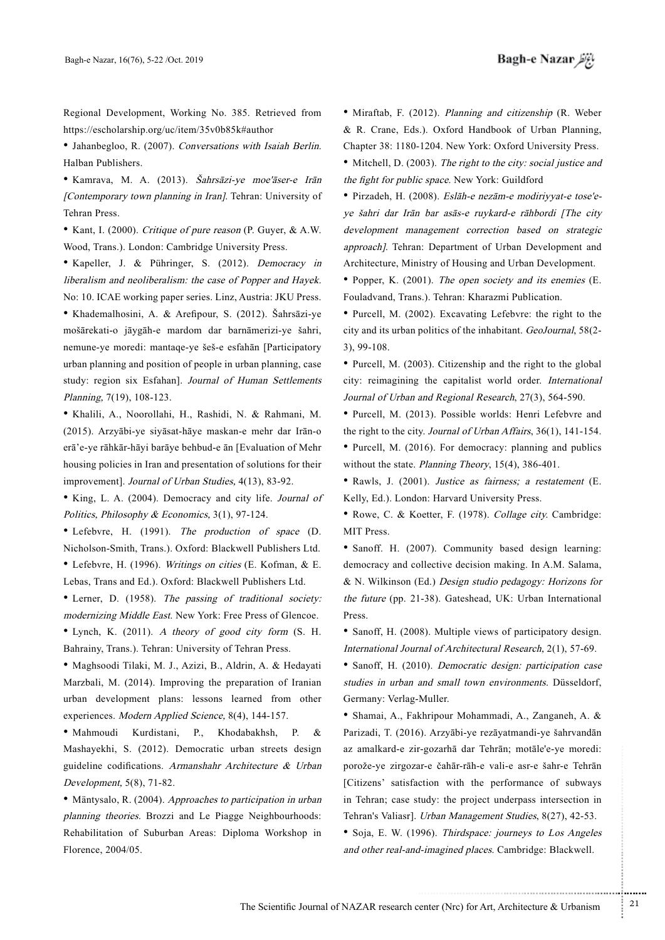Regional Development, Working No. 385. Retrieved from https://escholarship.org/uc/item/35v0b85k#author

• Jahanbegloo, R. (2007). Conversations with Isaiah Berlin. Halban Publishers.

• Kamrava, M. A. (2013). Šahrsāzi-ye moe'āser-e Irān [Contemporary town planning in Iran]. Tehran: University of Tehran Press.

• Kant, I. (2000). Critique of pure reason (P. Guyer, & A.W. Wood, Trans.). London: Cambridge University Press.

• Kapeller, J. & Pühringer, S. (2012). Democracy in liberalism and neoliberalism: the case of Popper and Hayek. No: 10. ICAE working paper series. Linz, Austria: JKU Press. • Khademalhosini, A. & Arefipour, S. (2012). Šahrsāzi-ye mošārekati-o jāygāh-e mardom dar barnāmerizi-ye šahri, nemune-ye moredi: mantaqe-ye šeš-e esfahān [Participatory urban planning and position of people in urban planning, case study: region six Esfahan]. Journal of Human Settlements Planning, 7(19), 108-123.

• Khalili, A., Noorollahi, H., Rashidi, N. & Rahmani, M. (2015). Arzyābi-ye siyāsat-hāye maskan-e mehr dar Irān-o erā'e-ve rāhkār-hāyi barāye behbud-e ān [Evaluation of Mehr housing policies in Iran and presentation of solutions for their improvement]. Journal of Urban Studies, 4(13), 83-92.

• King, L. A. (2004). Democracy and city life. Journal of Politics, Philosophy & Economics,  $3(1)$ , 97-124.

• Lefebvre, H. (1991). The production of space  $(D.$ Nicholson-Smith, Trans.). Oxford: Blackwell Publishers Ltd. • Lefebvre, H. (1996). Writings on cities (E. Kofman, & E. Lebas, Trans and Ed.). Oxford: Blackwell Publishers Ltd.

• Lerner, D. (1958). The passing of traditional society: modernizing Middle East. New York: Free Press of Glencoe.

• Lynch, K. (2011). A theory of good city form  $(S. H.$ Bahrainy, Trans.). Tehran: University of Tehran Press.

\* Maghsoodi Tilaki, M. J., Azizi, B., Aldrin, A. & Hedayati Marzbali, M. (2014). Improving the preparation of Iranian urban development plans: lessons learned from other experiences. Modern Applied Science, 8(4), 144-157.

• Mahmoudi Kurdistani, P., Khodabakhsh, P. & Mashayekhi, S. (2012). Democratic urban streets design guideline codifications. Armanshahr Architecture  $\&$  Urban Development,  $5(8)$ ,  $71-82$ .

• Mäntysalo, R. (2004). Approaches to participation in urban planning theories. Brozzi and Le Piagge Neighbourhoods: Rehabilitation of Suburban Areas: Diploma Workshop in Florence, 2004/05.

• Miraftab, F. (2012). Planning and citizenship (R. Weber & R. Crane, Eds.). Oxford Handbook of Urban Planning, Chapter 38: 1180-1204. New York: Oxford University Press.

• Mitchell, D. (2003). The right to the city: social justice and the fight for public space. New York: Guildford

ye šahri dar Irān bar asās-e ruykard-e rāhbordi [The city • Pirzadeh, H. (2008). Eslāh-e nezām-e-modiriyyat-e tose'edevelopment management correction based on strategic approach]. Tehran: Department of Urban Development and Architecture, Ministry of Housing and Urban Development.

• Popper, K. (2001). The open society and its enemies (E. Fouladvand, Trans.). Tehran: Kharazmi Publication.

• Purcell, M.  $(2002)$ . Excavating Lefebvre: the right to the city and its urban politics of the inhabitant. GeoJournal, 58(2- $(3), 99-108.$ 

• Purcell, M.  $(2003)$ . Citizenship and the right to the global city: reimagining the capitalist world order. International Journal of Urban and Regional Research, 27(3), 564-590.

• Purcell, M. (2013). Possible worlds: Henri Lefebvre and the right to the city. Journal of Urban Affairs, 36(1), 141-154. • Purcell, M.  $(2016)$ . For democracy: planning and publics without the state. Planning Theory,  $15(4)$ ,  $386-401$ .

• Rawls, J. (2001). Justice as fairness; a restatement (E. Kelly, Ed.). London: Harvard University Press.

• Rowe, C. & Koetter, F. (1978). Collage city. Cambridge: MIT Press.

• Sanoff. H. (2007). Community based design learning: democracy and collective decision making. In A.M. Salama, & N. Wilkinson (Ed.) Design studio pedagogy: Horizons for the future (pp. 21-38). Gateshead, UK: Urban International Press.

• Sanoff, H. (2008). Multiple views of participatory design. International Journal of Architectural Research, 2(1), 57-69.

• Sanoff, H. (2010). Democratic design: participation case studies in urban and small town environments. Düsseldorf, Germany: Verlag-Muller.

\* Shamai, A., Fakhripour Mohammadi, A., Zanganeh, A. & Parizadi, T. (2016). Arzyābi-ye-rezāyatmandi-ye-šahrvandān az amalkard-e zir-gozarhā dar Tehrān; motāle'e-ye moredi: porože-ye zirgozar-e čahār-rāh-e vali-e asr-e šahr-e Tehrān [Citizens' satisfaction with the performance of subways] in Tehran; case study: the project underpass intersection in Tehran's Valiasr]. Urban Management Studies, 8(27), 42-53. • Soja, E. W. (1996). Thirdspace: journeys to Los Angeles and other real-and-imagined places. Cambridge: Blackwell.

.......... ....... ........ ........... ...... ....... ........ .......... ...........